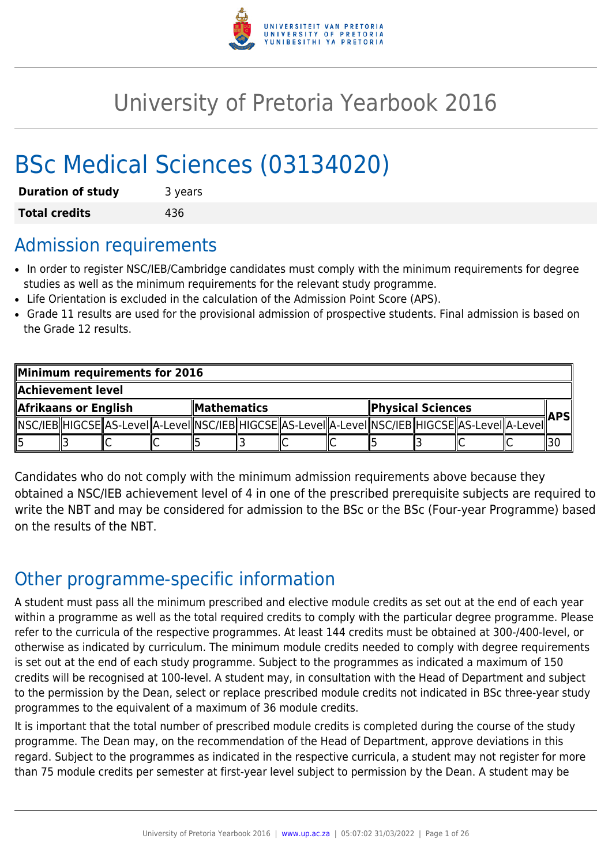

# University of Pretoria Yearbook 2016

# BSc Medical Sciences (03134020)

| <b>Duration of study</b> | 3 years |
|--------------------------|---------|
| <b>Total credits</b>     | 436     |

## Admission requirements

- In order to register NSC/IEB/Cambridge candidates must comply with the minimum requirements for degree studies as well as the minimum requirements for the relevant study programme.
- Life Orientation is excluded in the calculation of the Admission Point Score (APS).
- Grade 11 results are used for the provisional admission of prospective students. Final admission is based on the Grade 12 results.

| Minimum requirements for 2016              |  |  |                          |  |       |  |                                                                                                              |  |
|--------------------------------------------|--|--|--------------------------|--|-------|--|--------------------------------------------------------------------------------------------------------------|--|
| Achievement level                          |  |  |                          |  |       |  |                                                                                                              |  |
| Afrikaans or English<br><b>Mathematics</b> |  |  | <b>Physical Sciences</b> |  | ∥APSI |  |                                                                                                              |  |
|                                            |  |  |                          |  |       |  | [ NSC/IEB  HIGCSE  AS-LeveI  A-LeveI  NSC/IEB  HIGCSE  AS-LeveI  A-LeveI  NSC/IEB  HIGCSE  AS-LeveI  A-LeveI |  |
|                                            |  |  |                          |  |       |  |                                                                                                              |  |

Candidates who do not comply with the minimum admission requirements above because they obtained a NSC/IEB achievement level of 4 in one of the prescribed prerequisite subjects are required to write the NBT and may be considered for admission to the BSc or the BSc (Four-year Programme) based on the results of the NBT.

## Other programme-specific information

A student must pass all the minimum prescribed and elective module credits as set out at the end of each year within a programme as well as the total required credits to comply with the particular degree programme. Please refer to the curricula of the respective programmes. At least 144 credits must be obtained at 300-/400-level, or otherwise as indicated by curriculum. The minimum module credits needed to comply with degree requirements is set out at the end of each study programme. Subject to the programmes as indicated a maximum of 150 credits will be recognised at 100-level. A student may, in consultation with the Head of Department and subject to the permission by the Dean, select or replace prescribed module credits not indicated in BSc three-year study programmes to the equivalent of a maximum of 36 module credits.

It is important that the total number of prescribed module credits is completed during the course of the study programme. The Dean may, on the recommendation of the Head of Department, approve deviations in this regard. Subject to the programmes as indicated in the respective curricula, a student may not register for more than 75 module credits per semester at first-year level subject to permission by the Dean. A student may be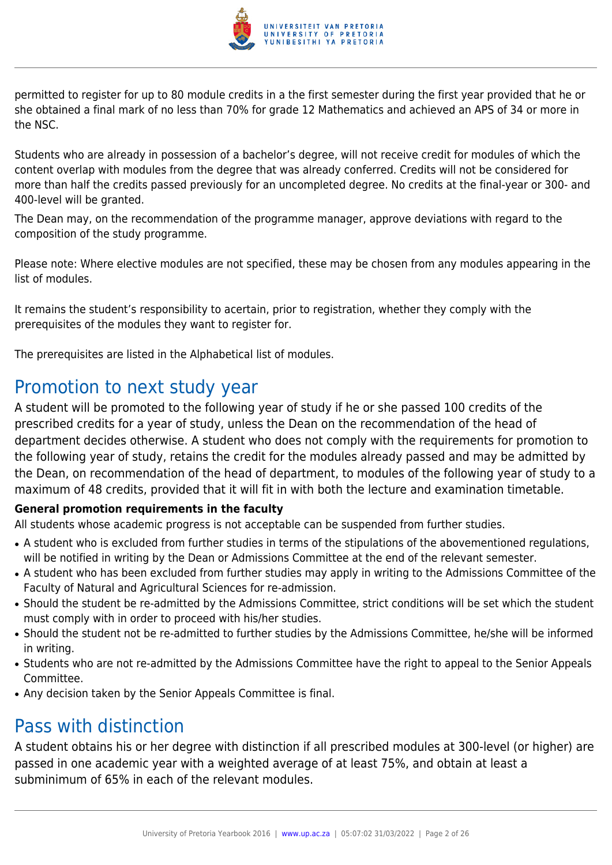

permitted to register for up to 80 module credits in a the first semester during the first year provided that he or she obtained a final mark of no less than 70% for grade 12 Mathematics and achieved an APS of 34 or more in the NSC.

Students who are already in possession of a bachelor's degree, will not receive credit for modules of which the content overlap with modules from the degree that was already conferred. Credits will not be considered for more than half the credits passed previously for an uncompleted degree. No credits at the final-year or 300- and 400-level will be granted.

The Dean may, on the recommendation of the programme manager, approve deviations with regard to the composition of the study programme.

Please note: Where elective modules are not specified, these may be chosen from any modules appearing in the list of modules.

It remains the student's responsibility to acertain, prior to registration, whether they comply with the prerequisites of the modules they want to register for.

The prerequisites are listed in the Alphabetical list of modules.

## Promotion to next study year

A student will be promoted to the following year of study if he or she passed 100 credits of the prescribed credits for a year of study, unless the Dean on the recommendation of the head of department decides otherwise. A student who does not comply with the requirements for promotion to the following year of study, retains the credit for the modules already passed and may be admitted by the Dean, on recommendation of the head of department, to modules of the following year of study to a maximum of 48 credits, provided that it will fit in with both the lecture and examination timetable.

## **General promotion requirements in the faculty**

All students whose academic progress is not acceptable can be suspended from further studies.

- A student who is excluded from further studies in terms of the stipulations of the abovementioned regulations, will be notified in writing by the Dean or Admissions Committee at the end of the relevant semester.
- A student who has been excluded from further studies may apply in writing to the Admissions Committee of the Faculty of Natural and Agricultural Sciences for re-admission.
- Should the student be re-admitted by the Admissions Committee, strict conditions will be set which the student must comply with in order to proceed with his/her studies.
- Should the student not be re-admitted to further studies by the Admissions Committee, he/she will be informed in writing.
- Students who are not re-admitted by the Admissions Committee have the right to appeal to the Senior Appeals Committee.
- Any decision taken by the Senior Appeals Committee is final.

## Pass with distinction

A student obtains his or her degree with distinction if all prescribed modules at 300-level (or higher) are passed in one academic year with a weighted average of at least 75%, and obtain at least a subminimum of 65% in each of the relevant modules.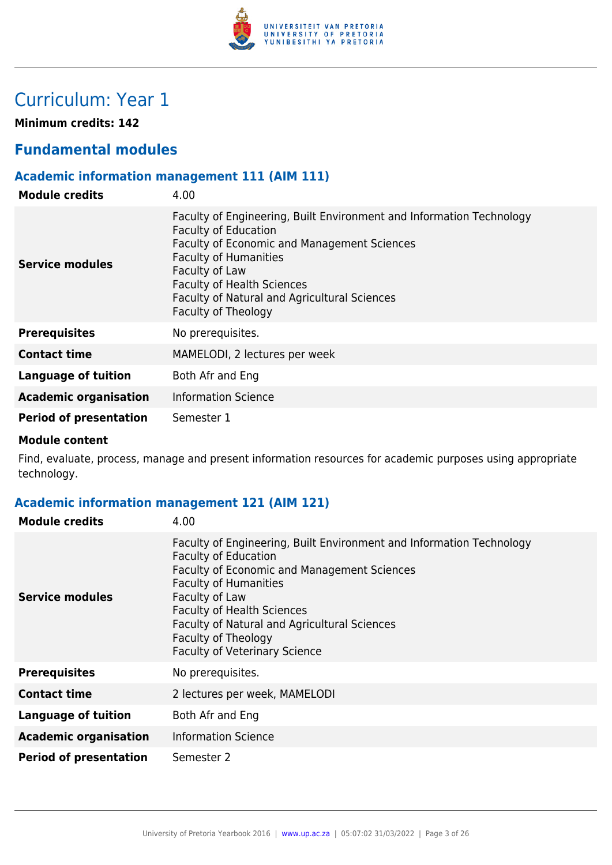

## Curriculum: Year 1

**Minimum credits: 142**

## **Fundamental modules**

## **Academic information management 111 (AIM 111)**

| <b>Module credits</b>         | 4.00                                                                                                                                                                                                                                                                                                                    |
|-------------------------------|-------------------------------------------------------------------------------------------------------------------------------------------------------------------------------------------------------------------------------------------------------------------------------------------------------------------------|
| Service modules               | Faculty of Engineering, Built Environment and Information Technology<br><b>Faculty of Education</b><br><b>Faculty of Economic and Management Sciences</b><br><b>Faculty of Humanities</b><br>Faculty of Law<br><b>Faculty of Health Sciences</b><br>Faculty of Natural and Agricultural Sciences<br>Faculty of Theology |
| <b>Prerequisites</b>          | No prerequisites.                                                                                                                                                                                                                                                                                                       |
| <b>Contact time</b>           | MAMELODI, 2 lectures per week                                                                                                                                                                                                                                                                                           |
| Language of tuition           | Both Afr and Eng                                                                                                                                                                                                                                                                                                        |
| <b>Academic organisation</b>  | <b>Information Science</b>                                                                                                                                                                                                                                                                                              |
| <b>Period of presentation</b> | Semester 1                                                                                                                                                                                                                                                                                                              |

#### **Module content**

Find, evaluate, process, manage and present information resources for academic purposes using appropriate technology.

## **Academic information management 121 (AIM 121)**

| <b>Module credits</b>         | 4.00                                                                                                                                                                                                                                                                                                                                                     |
|-------------------------------|----------------------------------------------------------------------------------------------------------------------------------------------------------------------------------------------------------------------------------------------------------------------------------------------------------------------------------------------------------|
| <b>Service modules</b>        | Faculty of Engineering, Built Environment and Information Technology<br><b>Faculty of Education</b><br>Faculty of Economic and Management Sciences<br><b>Faculty of Humanities</b><br>Faculty of Law<br><b>Faculty of Health Sciences</b><br>Faculty of Natural and Agricultural Sciences<br>Faculty of Theology<br><b>Faculty of Veterinary Science</b> |
| <b>Prerequisites</b>          | No prerequisites.                                                                                                                                                                                                                                                                                                                                        |
| <b>Contact time</b>           | 2 lectures per week, MAMELODI                                                                                                                                                                                                                                                                                                                            |
| <b>Language of tuition</b>    | Both Afr and Eng                                                                                                                                                                                                                                                                                                                                         |
| <b>Academic organisation</b>  | <b>Information Science</b>                                                                                                                                                                                                                                                                                                                               |
| <b>Period of presentation</b> | Semester 2                                                                                                                                                                                                                                                                                                                                               |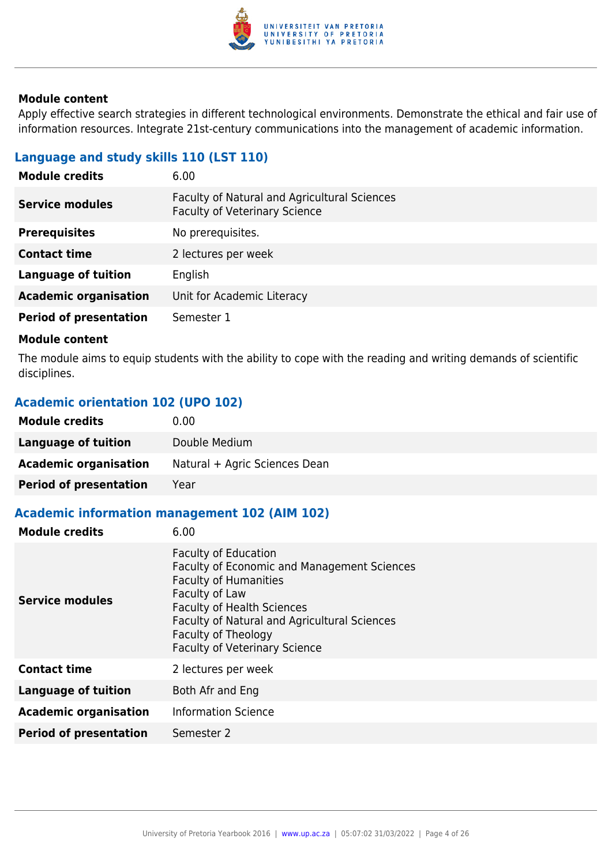

Apply effective search strategies in different technological environments. Demonstrate the ethical and fair use of information resources. Integrate 21st-century communications into the management of academic information.

## **Language and study skills 110 (LST 110)**

| 6.00                                                                                 |
|--------------------------------------------------------------------------------------|
| Faculty of Natural and Agricultural Sciences<br><b>Faculty of Veterinary Science</b> |
| No prerequisites.                                                                    |
| 2 lectures per week                                                                  |
| English                                                                              |
| Unit for Academic Literacy                                                           |
| Semester 1                                                                           |
|                                                                                      |

#### **Module content**

The module aims to equip students with the ability to cope with the reading and writing demands of scientific disciplines.

## **Academic orientation 102 (UPO 102)**

| <b>Module credits</b>         | 0.00                          |
|-------------------------------|-------------------------------|
| Language of tuition           | Double Medium                 |
| <b>Academic organisation</b>  | Natural + Agric Sciences Dean |
| <b>Period of presentation</b> | Year                          |

## **Academic information management 102 (AIM 102)**

| <b>Module credits</b>         | 6.00                                                                                                                                                                                                                                                                                    |
|-------------------------------|-----------------------------------------------------------------------------------------------------------------------------------------------------------------------------------------------------------------------------------------------------------------------------------------|
| <b>Service modules</b>        | <b>Faculty of Education</b><br><b>Faculty of Economic and Management Sciences</b><br><b>Faculty of Humanities</b><br>Faculty of Law<br><b>Faculty of Health Sciences</b><br>Faculty of Natural and Agricultural Sciences<br>Faculty of Theology<br><b>Faculty of Veterinary Science</b> |
| <b>Contact time</b>           | 2 lectures per week                                                                                                                                                                                                                                                                     |
| <b>Language of tuition</b>    | Both Afr and Eng                                                                                                                                                                                                                                                                        |
| <b>Academic organisation</b>  | <b>Information Science</b>                                                                                                                                                                                                                                                              |
| <b>Period of presentation</b> | Semester 2                                                                                                                                                                                                                                                                              |
|                               |                                                                                                                                                                                                                                                                                         |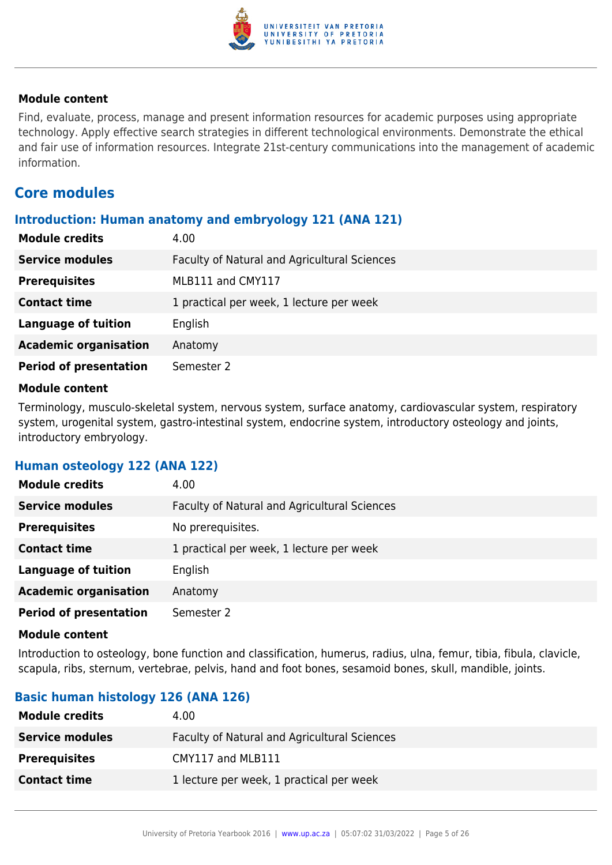

Find, evaluate, process, manage and present information resources for academic purposes using appropriate technology. Apply effective search strategies in different technological environments. Demonstrate the ethical and fair use of information resources. Integrate 21st-century communications into the management of academic information.

## **Core modules**

#### **Introduction: Human anatomy and embryology 121 (ANA 121)**

| <b>Module credits</b>         | 4.00                                         |
|-------------------------------|----------------------------------------------|
| <b>Service modules</b>        | Faculty of Natural and Agricultural Sciences |
| <b>Prerequisites</b>          | MLB111 and CMY117                            |
| <b>Contact time</b>           | 1 practical per week, 1 lecture per week     |
| <b>Language of tuition</b>    | English                                      |
| <b>Academic organisation</b>  | Anatomy                                      |
| <b>Period of presentation</b> | Semester 2                                   |

#### **Module content**

Terminology, musculo-skeletal system, nervous system, surface anatomy, cardiovascular system, respiratory system, urogenital system, gastro-intestinal system, endocrine system, introductory osteology and joints, introductory embryology.

#### **Human osteology 122 (ANA 122)**

| <b>Module credits</b>         | 4.00                                         |
|-------------------------------|----------------------------------------------|
| <b>Service modules</b>        | Faculty of Natural and Agricultural Sciences |
| <b>Prerequisites</b>          | No prerequisites.                            |
| <b>Contact time</b>           | 1 practical per week, 1 lecture per week     |
| <b>Language of tuition</b>    | English                                      |
| <b>Academic organisation</b>  | Anatomy                                      |
| <b>Period of presentation</b> | Semester 2                                   |

#### **Module content**

Introduction to osteology, bone function and classification, humerus, radius, ulna, femur, tibia, fibula, clavicle, scapula, ribs, sternum, vertebrae, pelvis, hand and foot bones, sesamoid bones, skull, mandible, joints.

## **Basic human histology 126 (ANA 126)**

| <b>Module credits</b>  | 4.00                                         |
|------------------------|----------------------------------------------|
| <b>Service modules</b> | Faculty of Natural and Agricultural Sciences |
| <b>Prerequisites</b>   | CMY117 and MLB111                            |
| <b>Contact time</b>    | 1 lecture per week, 1 practical per week     |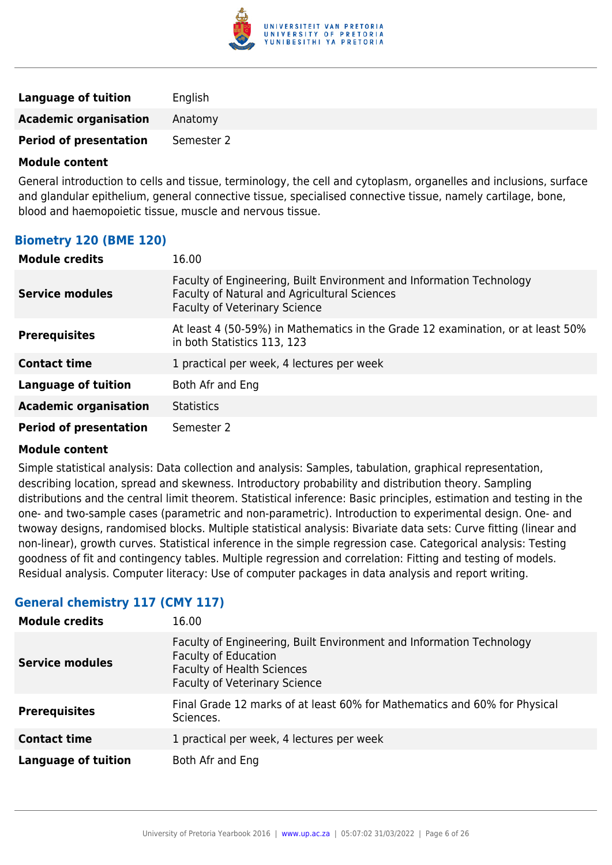

| <b>Language of tuition</b>    | English    |
|-------------------------------|------------|
| <b>Academic organisation</b>  | Anatomy    |
| <b>Period of presentation</b> | Semester 2 |

General introduction to cells and tissue, terminology, the cell and cytoplasm, organelles and inclusions, surface and glandular epithelium, general connective tissue, specialised connective tissue, namely cartilage, bone, blood and haemopoietic tissue, muscle and nervous tissue.

## **Biometry 120 (BME 120)**

| <b>Module credits</b>         | 16.00                                                                                                                                                        |
|-------------------------------|--------------------------------------------------------------------------------------------------------------------------------------------------------------|
| <b>Service modules</b>        | Faculty of Engineering, Built Environment and Information Technology<br>Faculty of Natural and Agricultural Sciences<br><b>Faculty of Veterinary Science</b> |
| <b>Prerequisites</b>          | At least 4 (50-59%) in Mathematics in the Grade 12 examination, or at least 50%<br>in both Statistics 113, 123                                               |
| <b>Contact time</b>           | 1 practical per week, 4 lectures per week                                                                                                                    |
| Language of tuition           | Both Afr and Eng                                                                                                                                             |
| <b>Academic organisation</b>  | <b>Statistics</b>                                                                                                                                            |
| <b>Period of presentation</b> | Semester 2                                                                                                                                                   |

#### **Module content**

Simple statistical analysis: Data collection and analysis: Samples, tabulation, graphical representation, describing location, spread and skewness. Introductory probability and distribution theory. Sampling distributions and the central limit theorem. Statistical inference: Basic principles, estimation and testing in the one- and two-sample cases (parametric and non-parametric). Introduction to experimental design. One- and twoway designs, randomised blocks. Multiple statistical analysis: Bivariate data sets: Curve fitting (linear and non-linear), growth curves. Statistical inference in the simple regression case. Categorical analysis: Testing goodness of fit and contingency tables. Multiple regression and correlation: Fitting and testing of models. Residual analysis. Computer literacy: Use of computer packages in data analysis and report writing.

## **General chemistry 117 (CMY 117)**

| <b>Module credits</b>      | 16.00                                                                                                                                                                            |
|----------------------------|----------------------------------------------------------------------------------------------------------------------------------------------------------------------------------|
| <b>Service modules</b>     | Faculty of Engineering, Built Environment and Information Technology<br><b>Faculty of Education</b><br><b>Faculty of Health Sciences</b><br><b>Faculty of Veterinary Science</b> |
| <b>Prerequisites</b>       | Final Grade 12 marks of at least 60% for Mathematics and 60% for Physical<br>Sciences.                                                                                           |
| <b>Contact time</b>        | 1 practical per week, 4 lectures per week                                                                                                                                        |
| <b>Language of tuition</b> | Both Afr and Eng                                                                                                                                                                 |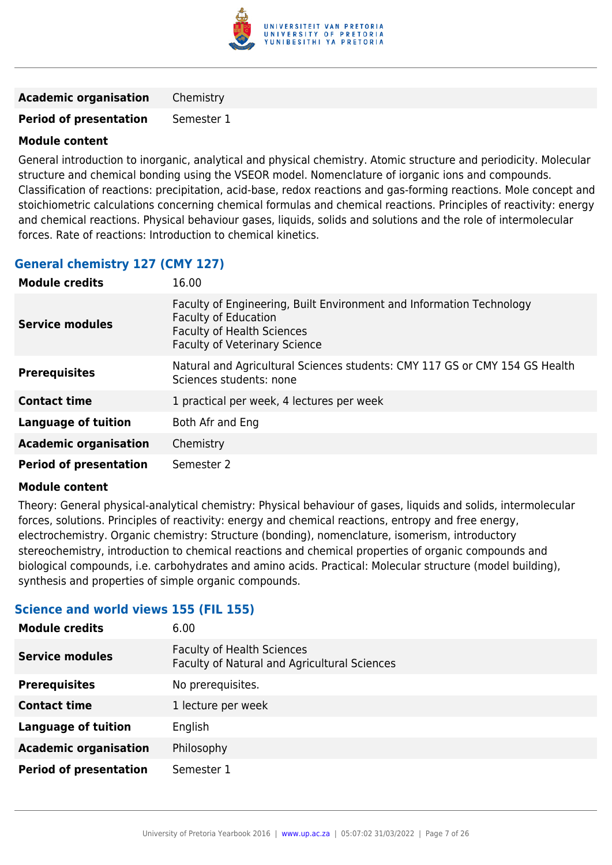

**Academic organisation** Chemistry

**Period of presentation** Semester 1

#### **Module content**

General introduction to inorganic, analytical and physical chemistry. Atomic structure and periodicity. Molecular structure and chemical bonding using the VSEOR model. Nomenclature of iorganic ions and compounds. Classification of reactions: precipitation, acid-base, redox reactions and gas-forming reactions. Mole concept and stoichiometric calculations concerning chemical formulas and chemical reactions. Principles of reactivity: energy and chemical reactions. Physical behaviour gases, liquids, solids and solutions and the role of intermolecular forces. Rate of reactions: Introduction to chemical kinetics.

## **General chemistry 127 (CMY 127)**

| <b>Module credits</b>         | 16.00                                                                                                                                                                            |
|-------------------------------|----------------------------------------------------------------------------------------------------------------------------------------------------------------------------------|
| <b>Service modules</b>        | Faculty of Engineering, Built Environment and Information Technology<br><b>Faculty of Education</b><br><b>Faculty of Health Sciences</b><br><b>Faculty of Veterinary Science</b> |
| <b>Prerequisites</b>          | Natural and Agricultural Sciences students: CMY 117 GS or CMY 154 GS Health<br>Sciences students: none                                                                           |
| <b>Contact time</b>           | 1 practical per week, 4 lectures per week                                                                                                                                        |
| Language of tuition           | Both Afr and Eng                                                                                                                                                                 |
| <b>Academic organisation</b>  | Chemistry                                                                                                                                                                        |
| <b>Period of presentation</b> | Semester 2                                                                                                                                                                       |

#### **Module content**

Theory: General physical-analytical chemistry: Physical behaviour of gases, liquids and solids, intermolecular forces, solutions. Principles of reactivity: energy and chemical reactions, entropy and free energy, electrochemistry. Organic chemistry: Structure (bonding), nomenclature, isomerism, introductory stereochemistry, introduction to chemical reactions and chemical properties of organic compounds and biological compounds, i.e. carbohydrates and amino acids. Practical: Molecular structure (model building), synthesis and properties of simple organic compounds.

#### **Science and world views 155 (FIL 155)**

| 6.00                                                                              |
|-----------------------------------------------------------------------------------|
| <b>Faculty of Health Sciences</b><br>Faculty of Natural and Agricultural Sciences |
| No prerequisites.                                                                 |
| 1 lecture per week                                                                |
| English                                                                           |
| Philosophy                                                                        |
| Semester 1                                                                        |
|                                                                                   |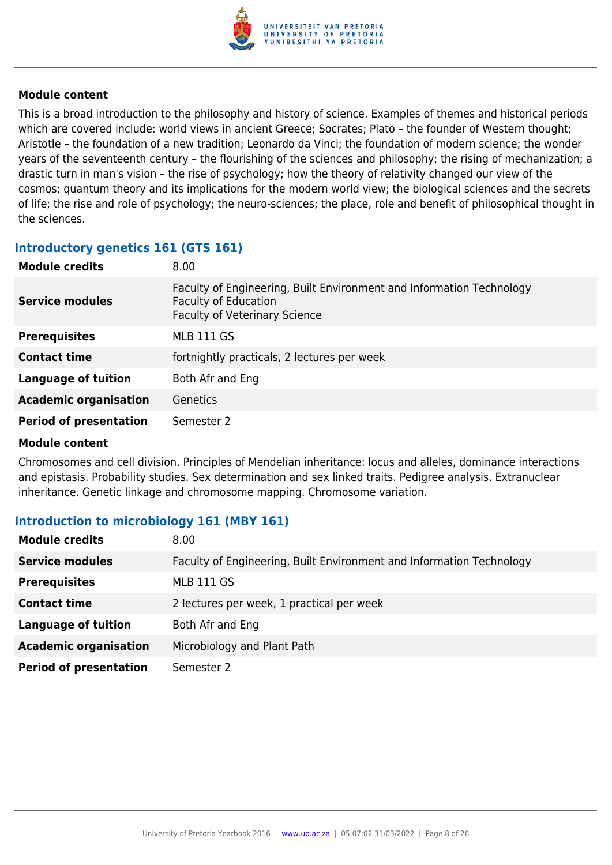

This is a broad introduction to the philosophy and history of science. Examples of themes and historical periods which are covered include: world views in ancient Greece; Socrates; Plato – the founder of Western thought; Aristotle – the foundation of a new tradition; Leonardo da Vinci; the foundation of modern science; the wonder years of the seventeenth century – the flourishing of the sciences and philosophy; the rising of mechanization; a drastic turn in man's vision – the rise of psychology; how the theory of relativity changed our view of the cosmos; quantum theory and its implications for the modern world view; the biological sciences and the secrets of life; the rise and role of psychology; the neuro-sciences; the place, role and benefit of philosophical thought in the sciences.

#### **Introductory genetics 161 (GTS 161)**

| <b>Module credits</b>         | 8.00                                                                                                                                        |
|-------------------------------|---------------------------------------------------------------------------------------------------------------------------------------------|
| <b>Service modules</b>        | Faculty of Engineering, Built Environment and Information Technology<br><b>Faculty of Education</b><br><b>Faculty of Veterinary Science</b> |
| <b>Prerequisites</b>          | <b>MLB 111 GS</b>                                                                                                                           |
| <b>Contact time</b>           | fortnightly practicals, 2 lectures per week                                                                                                 |
| <b>Language of tuition</b>    | Both Afr and Eng                                                                                                                            |
| <b>Academic organisation</b>  | <b>Genetics</b>                                                                                                                             |
| <b>Period of presentation</b> | Semester 2                                                                                                                                  |

#### **Module content**

Chromosomes and cell division. Principles of Mendelian inheritance: locus and alleles, dominance interactions and epistasis. Probability studies. Sex determination and sex linked traits. Pedigree analysis. Extranuclear inheritance. Genetic linkage and chromosome mapping. Chromosome variation.

## **Introduction to microbiology 161 (MBY 161)**

| <b>Module credits</b>         | 8.00                                                                 |
|-------------------------------|----------------------------------------------------------------------|
| <b>Service modules</b>        | Faculty of Engineering, Built Environment and Information Technology |
| <b>Prerequisites</b>          | <b>MLB 111 GS</b>                                                    |
| <b>Contact time</b>           | 2 lectures per week, 1 practical per week                            |
| <b>Language of tuition</b>    | Both Afr and Eng                                                     |
| <b>Academic organisation</b>  | Microbiology and Plant Path                                          |
| <b>Period of presentation</b> | Semester 2                                                           |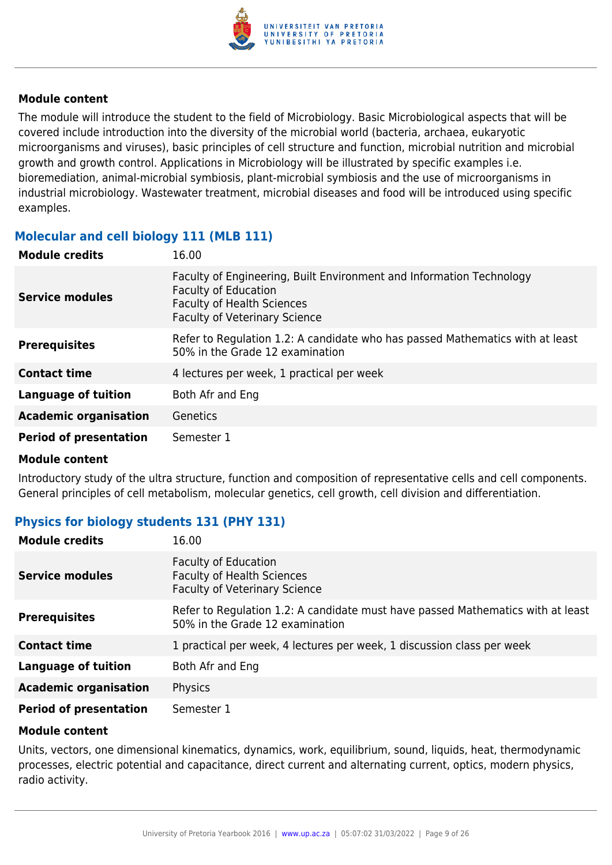

The module will introduce the student to the field of Microbiology. Basic Microbiological aspects that will be covered include introduction into the diversity of the microbial world (bacteria, archaea, eukaryotic microorganisms and viruses), basic principles of cell structure and function, microbial nutrition and microbial growth and growth control. Applications in Microbiology will be illustrated by specific examples i.e. bioremediation, animal-microbial symbiosis, plant-microbial symbiosis and the use of microorganisms in industrial microbiology. Wastewater treatment, microbial diseases and food will be introduced using specific examples.

## **Molecular and cell biology 111 (MLB 111)**

| <b>Module credits</b>         | 16.00                                                                                                                                                                     |
|-------------------------------|---------------------------------------------------------------------------------------------------------------------------------------------------------------------------|
| <b>Service modules</b>        | Faculty of Engineering, Built Environment and Information Technology<br>Faculty of Education<br><b>Faculty of Health Sciences</b><br><b>Faculty of Veterinary Science</b> |
| <b>Prerequisites</b>          | Refer to Regulation 1.2: A candidate who has passed Mathematics with at least<br>50% in the Grade 12 examination                                                          |
| <b>Contact time</b>           | 4 lectures per week, 1 practical per week                                                                                                                                 |
| <b>Language of tuition</b>    | Both Afr and Eng                                                                                                                                                          |
| <b>Academic organisation</b>  | Genetics                                                                                                                                                                  |
| <b>Period of presentation</b> | Semester 1                                                                                                                                                                |

#### **Module content**

Introductory study of the ultra structure, function and composition of representative cells and cell components. General principles of cell metabolism, molecular genetics, cell growth, cell division and differentiation.

## **Physics for biology students 131 (PHY 131)**

| <b>Module credits</b>         | 16.00                                                                                                              |
|-------------------------------|--------------------------------------------------------------------------------------------------------------------|
| <b>Service modules</b>        | <b>Faculty of Education</b><br><b>Faculty of Health Sciences</b><br><b>Faculty of Veterinary Science</b>           |
| <b>Prerequisites</b>          | Refer to Regulation 1.2: A candidate must have passed Mathematics with at least<br>50% in the Grade 12 examination |
| <b>Contact time</b>           | 1 practical per week, 4 lectures per week, 1 discussion class per week                                             |
| Language of tuition           | Both Afr and Eng                                                                                                   |
| <b>Academic organisation</b>  | Physics                                                                                                            |
| <b>Period of presentation</b> | Semester 1                                                                                                         |

#### **Module content**

Units, vectors, one dimensional kinematics, dynamics, work, equilibrium, sound, liquids, heat, thermodynamic processes, electric potential and capacitance, direct current and alternating current, optics, modern physics, radio activity.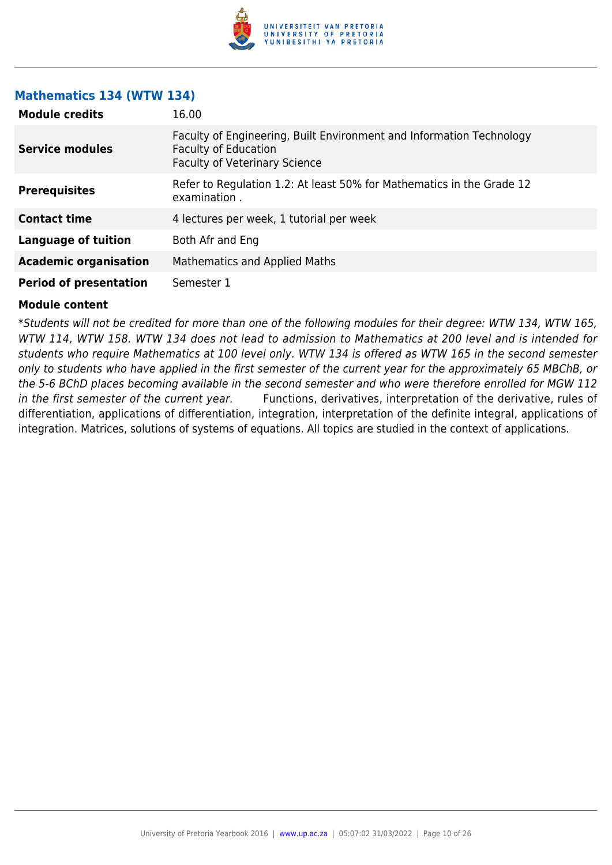

#### **Mathematics 134 (WTW 134)**

| <b>Module credits</b>         | 16.00                                                                                                                                       |
|-------------------------------|---------------------------------------------------------------------------------------------------------------------------------------------|
| <b>Service modules</b>        | Faculty of Engineering, Built Environment and Information Technology<br><b>Faculty of Education</b><br><b>Faculty of Veterinary Science</b> |
| <b>Prerequisites</b>          | Refer to Regulation 1.2: At least 50% for Mathematics in the Grade 12<br>examination.                                                       |
| <b>Contact time</b>           | 4 lectures per week, 1 tutorial per week                                                                                                    |
| Language of tuition           | Both Afr and Eng                                                                                                                            |
| <b>Academic organisation</b>  | <b>Mathematics and Applied Maths</b>                                                                                                        |
| <b>Period of presentation</b> | Semester 1                                                                                                                                  |

#### **Module content**

\*Students will not be credited for more than one of the following modules for their degree: WTW 134, WTW 165, WTW 114, WTW 158. WTW 134 does not lead to admission to Mathematics at 200 level and is intended for students who require Mathematics at 100 level only. WTW 134 is offered as WTW 165 in the second semester only to students who have applied in the first semester of the current year for the approximately 65 MBChB, or the 5-6 BChD places becoming available in the second semester and who were therefore enrolled for MGW 112 in the first semester of the current year. Functions, derivatives, interpretation of the derivative, rules of differentiation, applications of differentiation, integration, interpretation of the definite integral, applications of integration. Matrices, solutions of systems of equations. All topics are studied in the context of applications.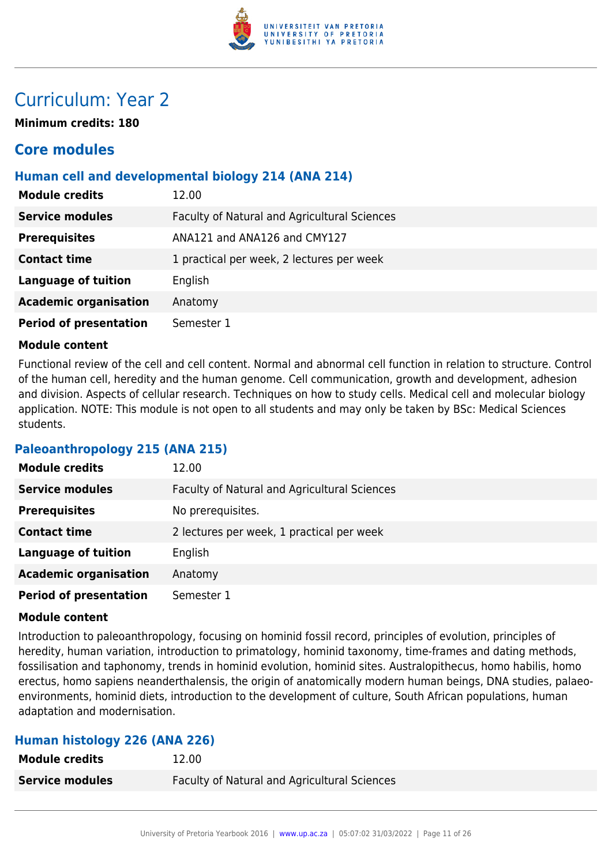

## Curriculum: Year 2

**Minimum credits: 180**

## **Core modules**

## **Human cell and developmental biology 214 (ANA 214)**

| <b>Module credits</b>         | 12.00                                        |
|-------------------------------|----------------------------------------------|
| <b>Service modules</b>        | Faculty of Natural and Agricultural Sciences |
| <b>Prerequisites</b>          | ANA121 and ANA126 and CMY127                 |
| <b>Contact time</b>           | 1 practical per week, 2 lectures per week    |
| <b>Language of tuition</b>    | English                                      |
| <b>Academic organisation</b>  | Anatomy                                      |
| <b>Period of presentation</b> | Semester 1                                   |

#### **Module content**

Functional review of the cell and cell content. Normal and abnormal cell function in relation to structure. Control of the human cell, heredity and the human genome. Cell communication, growth and development, adhesion and division. Aspects of cellular research. Techniques on how to study cells. Medical cell and molecular biology application. NOTE: This module is not open to all students and may only be taken by BSc: Medical Sciences students.

#### **Paleoanthropology 215 (ANA 215)**

| <b>Module credits</b>         | 12.00                                        |
|-------------------------------|----------------------------------------------|
| <b>Service modules</b>        | Faculty of Natural and Agricultural Sciences |
| <b>Prerequisites</b>          | No prerequisites.                            |
| <b>Contact time</b>           | 2 lectures per week, 1 practical per week    |
| <b>Language of tuition</b>    | English                                      |
| <b>Academic organisation</b>  | Anatomy                                      |
| <b>Period of presentation</b> | Semester 1                                   |

#### **Module content**

Introduction to paleoanthropology, focusing on hominid fossil record, principles of evolution, principles of heredity, human variation, introduction to primatology, hominid taxonomy, time-frames and dating methods, fossilisation and taphonomy, trends in hominid evolution, hominid sites. Australopithecus, homo habilis, homo erectus, homo sapiens neanderthalensis, the origin of anatomically modern human beings, DNA studies, palaeoenvironments, hominid diets, introduction to the development of culture, South African populations, human adaptation and modernisation.

#### **Human histology 226 (ANA 226)**

| <b>Module credits</b><br>12.00 |                                                     |
|--------------------------------|-----------------------------------------------------|
| <b>Service modules</b>         | <b>Faculty of Natural and Agricultural Sciences</b> |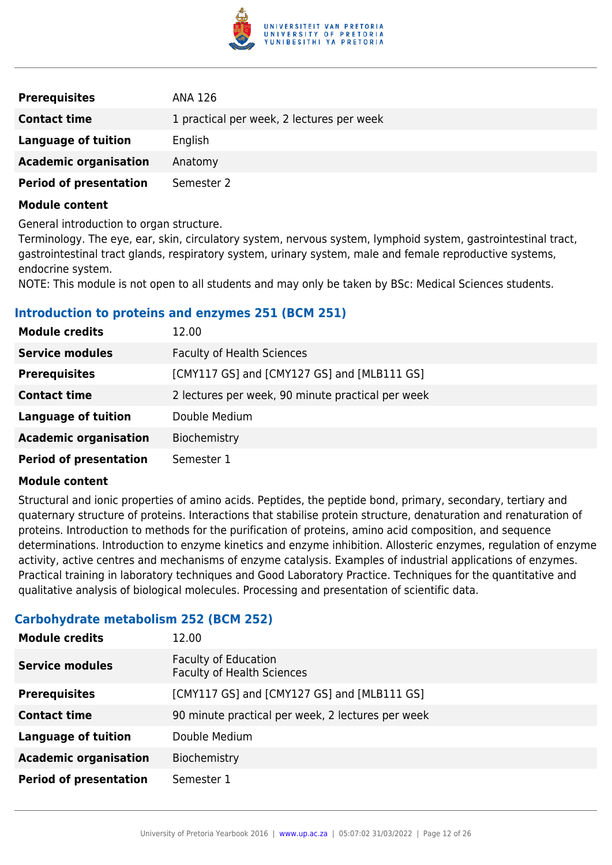

| <b>Prerequisites</b>          | ANA 126                                   |
|-------------------------------|-------------------------------------------|
| <b>Contact time</b>           | 1 practical per week, 2 lectures per week |
| Language of tuition           | English                                   |
| <b>Academic organisation</b>  | Anatomy                                   |
| <b>Period of presentation</b> | Semester 2                                |

General introduction to organ structure.

Terminology. The eye, ear, skin, circulatory system, nervous system, lymphoid system, gastrointestinal tract, gastrointestinal tract glands, respiratory system, urinary system, male and female reproductive systems, endocrine system.

NOTE: This module is not open to all students and may only be taken by BSc: Medical Sciences students.

#### **Introduction to proteins and enzymes 251 (BCM 251)**

| <b>Module credits</b>         | 12.00                                             |
|-------------------------------|---------------------------------------------------|
| <b>Service modules</b>        | <b>Faculty of Health Sciences</b>                 |
| <b>Prerequisites</b>          | [CMY117 GS] and [CMY127 GS] and [MLB111 GS]       |
| <b>Contact time</b>           | 2 lectures per week, 90 minute practical per week |
| <b>Language of tuition</b>    | Double Medium                                     |
| <b>Academic organisation</b>  | Biochemistry                                      |
| <b>Period of presentation</b> | Semester 1                                        |

#### **Module content**

Structural and ionic properties of amino acids. Peptides, the peptide bond, primary, secondary, tertiary and quaternary structure of proteins. Interactions that stabilise protein structure, denaturation and renaturation of proteins. Introduction to methods for the purification of proteins, amino acid composition, and sequence determinations. Introduction to enzyme kinetics and enzyme inhibition. Allosteric enzymes, regulation of enzyme activity, active centres and mechanisms of enzyme catalysis. Examples of industrial applications of enzymes. Practical training in laboratory techniques and Good Laboratory Practice. Techniques for the quantitative and qualitative analysis of biological molecules. Processing and presentation of scientific data.

#### **Carbohydrate metabolism 252 (BCM 252)**

| <b>Module credits</b>         | 12.00                                                            |
|-------------------------------|------------------------------------------------------------------|
| <b>Service modules</b>        | <b>Faculty of Education</b><br><b>Faculty of Health Sciences</b> |
| <b>Prerequisites</b>          | [CMY117 GS] and [CMY127 GS] and [MLB111 GS]                      |
| <b>Contact time</b>           | 90 minute practical per week, 2 lectures per week                |
| <b>Language of tuition</b>    | Double Medium                                                    |
| <b>Academic organisation</b>  | Biochemistry                                                     |
| <b>Period of presentation</b> | Semester 1                                                       |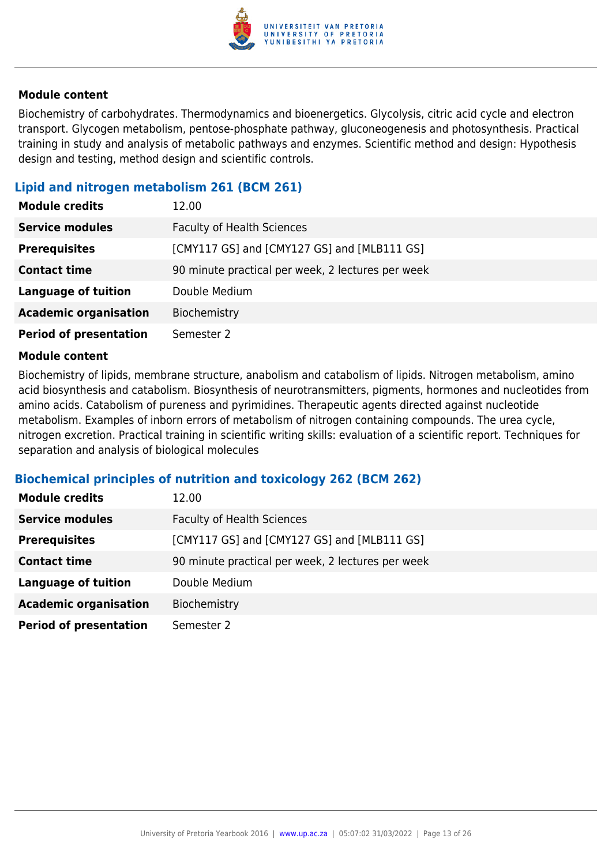

Biochemistry of carbohydrates. Thermodynamics and bioenergetics. Glycolysis, citric acid cycle and electron transport. Glycogen metabolism, pentose-phosphate pathway, gluconeogenesis and photosynthesis. Practical training in study and analysis of metabolic pathways and enzymes. Scientific method and design: Hypothesis design and testing, method design and scientific controls.

#### **Lipid and nitrogen metabolism 261 (BCM 261)**

| <b>Module credits</b>         | 12.00                                             |
|-------------------------------|---------------------------------------------------|
| <b>Service modules</b>        | <b>Faculty of Health Sciences</b>                 |
| <b>Prerequisites</b>          | [CMY117 GS] and [CMY127 GS] and [MLB111 GS]       |
| <b>Contact time</b>           | 90 minute practical per week, 2 lectures per week |
| <b>Language of tuition</b>    | Double Medium                                     |
| <b>Academic organisation</b>  | Biochemistry                                      |
| <b>Period of presentation</b> | Semester 2                                        |

#### **Module content**

Biochemistry of lipids, membrane structure, anabolism and catabolism of lipids. Nitrogen metabolism, amino acid biosynthesis and catabolism. Biosynthesis of neurotransmitters, pigments, hormones and nucleotides from amino acids. Catabolism of pureness and pyrimidines. Therapeutic agents directed against nucleotide metabolism. Examples of inborn errors of metabolism of nitrogen containing compounds. The urea cycle, nitrogen excretion. Practical training in scientific writing skills: evaluation of a scientific report. Techniques for separation and analysis of biological molecules

#### **Biochemical principles of nutrition and toxicology 262 (BCM 262)**

| <b>Module credits</b>         | 12.00                                             |
|-------------------------------|---------------------------------------------------|
| <b>Service modules</b>        | <b>Faculty of Health Sciences</b>                 |
| <b>Prerequisites</b>          | [CMY117 GS] and [CMY127 GS] and [MLB111 GS]       |
| <b>Contact time</b>           | 90 minute practical per week, 2 lectures per week |
| <b>Language of tuition</b>    | Double Medium                                     |
| <b>Academic organisation</b>  | Biochemistry                                      |
| <b>Period of presentation</b> | Semester 2                                        |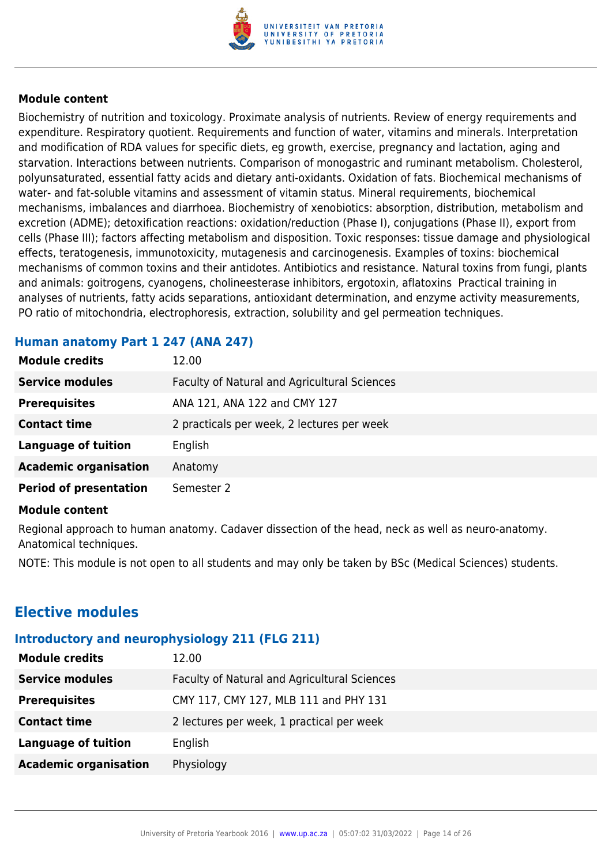

Biochemistry of nutrition and toxicology. Proximate analysis of nutrients. Review of energy requirements and expenditure. Respiratory quotient. Requirements and function of water, vitamins and minerals. Interpretation and modification of RDA values for specific diets, eg growth, exercise, pregnancy and lactation, aging and starvation. Interactions between nutrients. Comparison of monogastric and ruminant metabolism. Cholesterol, polyunsaturated, essential fatty acids and dietary anti-oxidants. Oxidation of fats. Biochemical mechanisms of water- and fat-soluble vitamins and assessment of vitamin status. Mineral requirements, biochemical mechanisms, imbalances and diarrhoea. Biochemistry of xenobiotics: absorption, distribution, metabolism and excretion (ADME); detoxification reactions: oxidation/reduction (Phase I), conjugations (Phase II), export from cells (Phase III); factors affecting metabolism and disposition. Toxic responses: tissue damage and physiological effects, teratogenesis, immunotoxicity, mutagenesis and carcinogenesis. Examples of toxins: biochemical mechanisms of common toxins and their antidotes. Antibiotics and resistance. Natural toxins from fungi, plants and animals: goitrogens, cyanogens, cholineesterase inhibitors, ergotoxin, aflatoxins Practical training in analyses of nutrients, fatty acids separations, antioxidant determination, and enzyme activity measurements, PO ratio of mitochondria, electrophoresis, extraction, solubility and gel permeation techniques.

## **Human anatomy Part 1 247 (ANA 247)**

| <b>Module credits</b>         | 12.00                                        |
|-------------------------------|----------------------------------------------|
| <b>Service modules</b>        | Faculty of Natural and Agricultural Sciences |
| <b>Prerequisites</b>          | ANA 121, ANA 122 and CMY 127                 |
| <b>Contact time</b>           | 2 practicals per week, 2 lectures per week   |
| <b>Language of tuition</b>    | English                                      |
| <b>Academic organisation</b>  | Anatomy                                      |
| <b>Period of presentation</b> | Semester 2                                   |
|                               |                                              |

#### **Module content**

Regional approach to human anatomy. Cadaver dissection of the head, neck as well as neuro-anatomy. Anatomical techniques.

NOTE: This module is not open to all students and may only be taken by BSc (Medical Sciences) students.

## **Elective modules**

#### **Introductory and neurophysiology 211 (FLG 211)**

| <b>Module credits</b>        | 12.00                                        |
|------------------------------|----------------------------------------------|
| <b>Service modules</b>       | Faculty of Natural and Agricultural Sciences |
| <b>Prerequisites</b>         | CMY 117, CMY 127, MLB 111 and PHY 131        |
| <b>Contact time</b>          | 2 lectures per week, 1 practical per week    |
| Language of tuition          | English                                      |
| <b>Academic organisation</b> | Physiology                                   |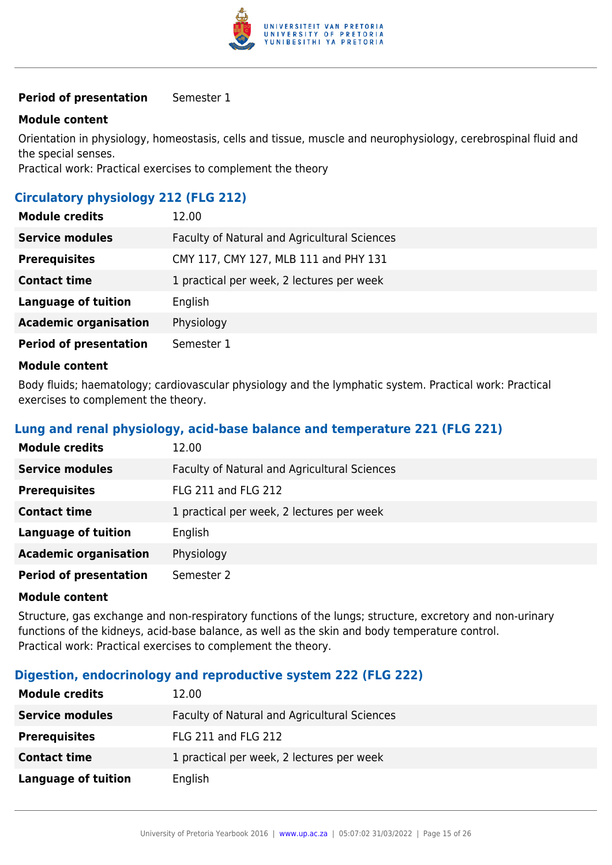

#### **Period of presentation** Semester 1

#### **Module content**

Orientation in physiology, homeostasis, cells and tissue, muscle and neurophysiology, cerebrospinal fluid and the special senses.

Practical work: Practical exercises to complement the theory

## **Circulatory physiology 212 (FLG 212)**

| <b>Module credits</b>         | 12.00                                        |
|-------------------------------|----------------------------------------------|
| <b>Service modules</b>        | Faculty of Natural and Agricultural Sciences |
| <b>Prerequisites</b>          | CMY 117, CMY 127, MLB 111 and PHY 131        |
| <b>Contact time</b>           | 1 practical per week, 2 lectures per week    |
| <b>Language of tuition</b>    | English                                      |
| <b>Academic organisation</b>  | Physiology                                   |
| <b>Period of presentation</b> | Semester 1                                   |
| .                             |                                              |

#### **Module content**

Body fluids; haematology; cardiovascular physiology and the lymphatic system. Practical work: Practical exercises to complement the theory.

#### **Lung and renal physiology, acid-base balance and temperature 221 (FLG 221)**

| <b>Module credits</b>         | 12.00                                        |
|-------------------------------|----------------------------------------------|
| <b>Service modules</b>        | Faculty of Natural and Agricultural Sciences |
| <b>Prerequisites</b>          | <b>FLG 211 and FLG 212</b>                   |
| <b>Contact time</b>           | 1 practical per week, 2 lectures per week    |
| <b>Language of tuition</b>    | English                                      |
| <b>Academic organisation</b>  | Physiology                                   |
| <b>Period of presentation</b> | Semester 2                                   |

#### **Module content**

Structure, gas exchange and non-respiratory functions of the lungs; structure, excretory and non-urinary functions of the kidneys, acid-base balance, as well as the skin and body temperature control. Practical work: Practical exercises to complement the theory.

#### **Digestion, endocrinology and reproductive system 222 (FLG 222)**

| <b>Module credits</b>  | 12.00                                        |
|------------------------|----------------------------------------------|
| <b>Service modules</b> | Faculty of Natural and Agricultural Sciences |
| <b>Prerequisites</b>   | FLG 211 and FLG 212                          |
| <b>Contact time</b>    | 1 practical per week, 2 lectures per week    |
| Language of tuition    | English                                      |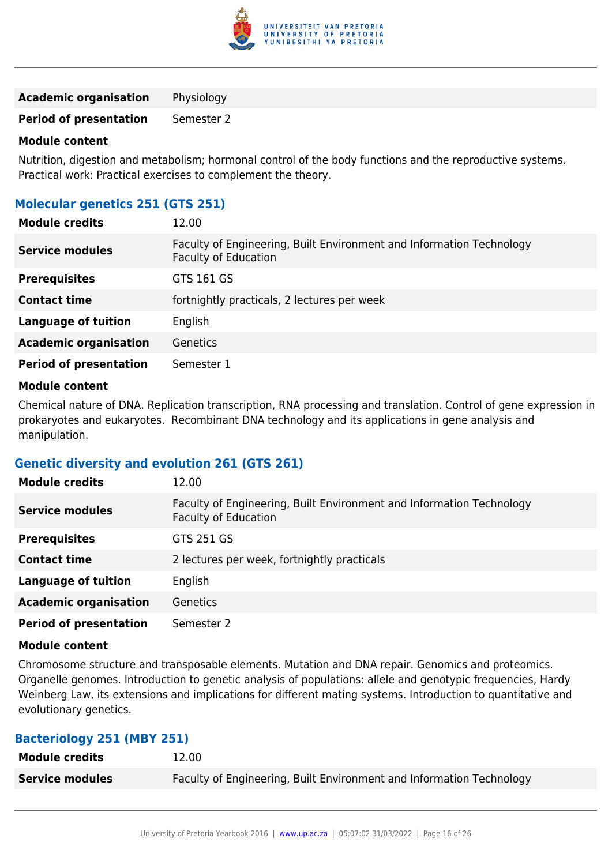

**Academic organisation** Physiology

**Period of presentation** Semester 2

#### **Module content**

Nutrition, digestion and metabolism; hormonal control of the body functions and the reproductive systems. Practical work: Practical exercises to complement the theory.

## **Molecular genetics 251 (GTS 251)**

| <b>Module credits</b>         | 12.00                                                                                               |
|-------------------------------|-----------------------------------------------------------------------------------------------------|
| <b>Service modules</b>        | Faculty of Engineering, Built Environment and Information Technology<br><b>Faculty of Education</b> |
| <b>Prerequisites</b>          | GTS 161 GS                                                                                          |
| <b>Contact time</b>           | fortnightly practicals, 2 lectures per week                                                         |
| <b>Language of tuition</b>    | English                                                                                             |
| <b>Academic organisation</b>  | Genetics                                                                                            |
| <b>Period of presentation</b> | Semester 1                                                                                          |

#### **Module content**

Chemical nature of DNA. Replication transcription, RNA processing and translation. Control of gene expression in prokaryotes and eukaryotes. Recombinant DNA technology and its applications in gene analysis and manipulation.

#### **Genetic diversity and evolution 261 (GTS 261)**

| <b>Module credits</b>         | 12.00                                                                                               |
|-------------------------------|-----------------------------------------------------------------------------------------------------|
| <b>Service modules</b>        | Faculty of Engineering, Built Environment and Information Technology<br><b>Faculty of Education</b> |
| <b>Prerequisites</b>          | GTS 251 GS                                                                                          |
| <b>Contact time</b>           | 2 lectures per week, fortnightly practicals                                                         |
| <b>Language of tuition</b>    | English                                                                                             |
| <b>Academic organisation</b>  | Genetics                                                                                            |
| <b>Period of presentation</b> | Semester 2                                                                                          |

#### **Module content**

Chromosome structure and transposable elements. Mutation and DNA repair. Genomics and proteomics. Organelle genomes. Introduction to genetic analysis of populations: allele and genotypic frequencies, Hardy Weinberg Law, its extensions and implications for different mating systems. Introduction to quantitative and evolutionary genetics.

#### **Bacteriology 251 (MBY 251)**

| <b>Module credits</b>  | 12.00                                                                |
|------------------------|----------------------------------------------------------------------|
| <b>Service modules</b> | Faculty of Engineering, Built Environment and Information Technology |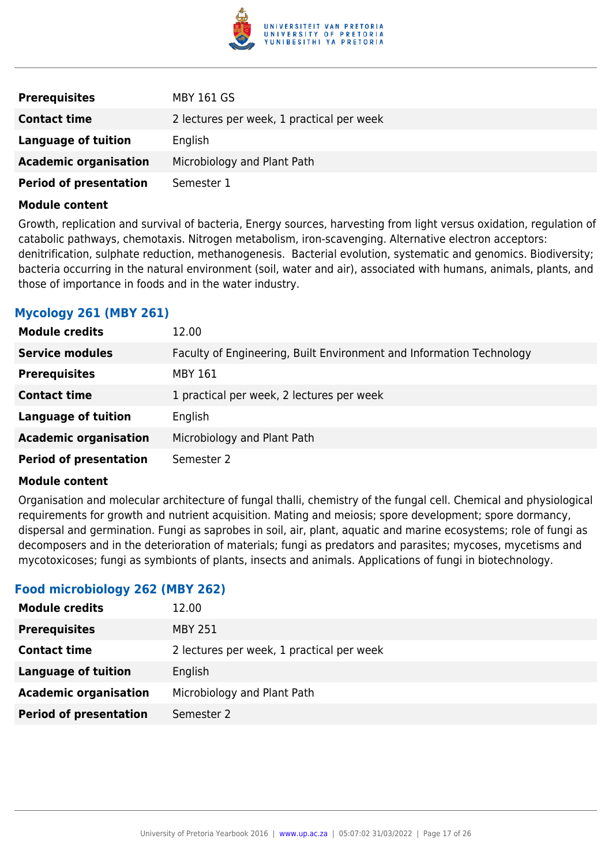

| <b>Prerequisites</b>          | MBY 161 GS                                |
|-------------------------------|-------------------------------------------|
| <b>Contact time</b>           | 2 lectures per week, 1 practical per week |
| Language of tuition           | English                                   |
| <b>Academic organisation</b>  | Microbiology and Plant Path               |
| <b>Period of presentation</b> | Semester 1                                |

Growth, replication and survival of bacteria, Energy sources, harvesting from light versus oxidation, regulation of catabolic pathways, chemotaxis. Nitrogen metabolism, iron-scavenging. Alternative electron acceptors: denitrification, sulphate reduction, methanogenesis. Bacterial evolution, systematic and genomics. Biodiversity; bacteria occurring in the natural environment (soil, water and air), associated with humans, animals, plants, and those of importance in foods and in the water industry.

## **Mycology 261 (MBY 261)**

| <b>Module credits</b>         | 12.00                                                                |
|-------------------------------|----------------------------------------------------------------------|
| <b>Service modules</b>        | Faculty of Engineering, Built Environment and Information Technology |
| <b>Prerequisites</b>          | <b>MBY 161</b>                                                       |
| <b>Contact time</b>           | 1 practical per week, 2 lectures per week                            |
| <b>Language of tuition</b>    | English                                                              |
| <b>Academic organisation</b>  | Microbiology and Plant Path                                          |
| <b>Period of presentation</b> | Semester 2                                                           |

#### **Module content**

Organisation and molecular architecture of fungal thalli, chemistry of the fungal cell. Chemical and physiological requirements for growth and nutrient acquisition. Mating and meiosis; spore development; spore dormancy, dispersal and germination. Fungi as saprobes in soil, air, plant, aquatic and marine ecosystems; role of fungi as decomposers and in the deterioration of materials; fungi as predators and parasites; mycoses, mycetisms and mycotoxicoses; fungi as symbionts of plants, insects and animals. Applications of fungi in biotechnology.

#### **Food microbiology 262 (MBY 262)**

| <b>Module credits</b>         | 12.00                                     |
|-------------------------------|-------------------------------------------|
| <b>Prerequisites</b>          | <b>MBY 251</b>                            |
| <b>Contact time</b>           | 2 lectures per week, 1 practical per week |
| Language of tuition           | English                                   |
| <b>Academic organisation</b>  | Microbiology and Plant Path               |
| <b>Period of presentation</b> | Semester 2                                |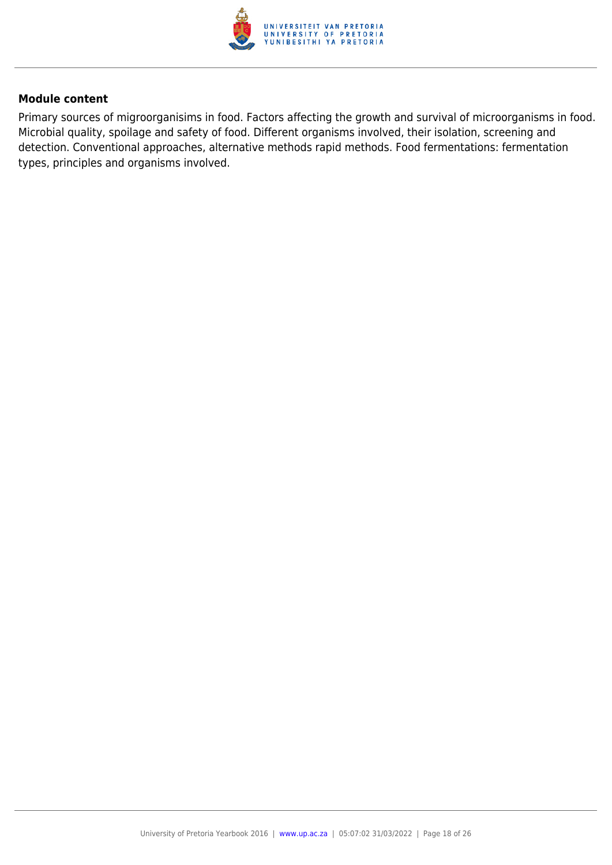

Primary sources of migroorganisims in food. Factors affecting the growth and survival of microorganisms in food. Microbial quality, spoilage and safety of food. Different organisms involved, their isolation, screening and detection. Conventional approaches, alternative methods rapid methods. Food fermentations: fermentation types, principles and organisms involved.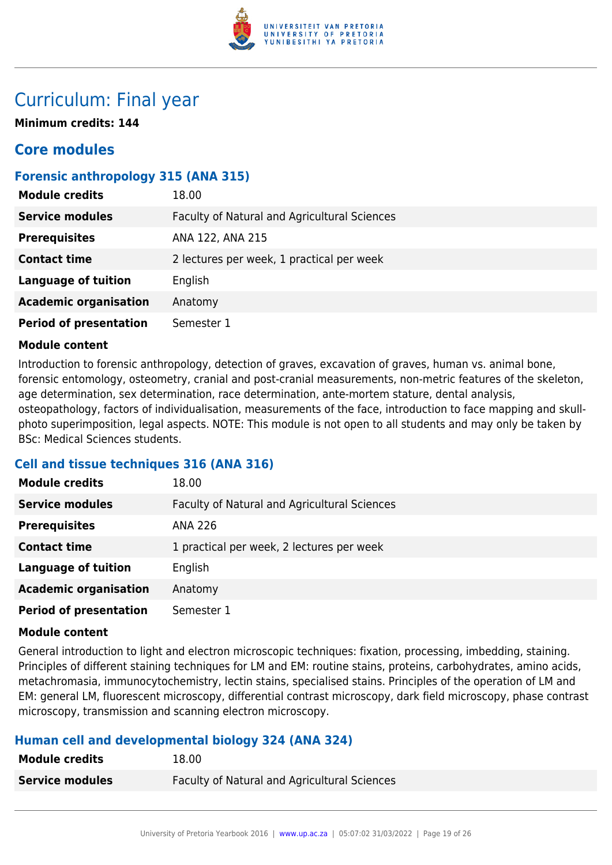

## Curriculum: Final year

**Minimum credits: 144**

## **Core modules**

## **Forensic anthropology 315 (ANA 315)**

| <b>Module credits</b>         | 18.00                                        |
|-------------------------------|----------------------------------------------|
| <b>Service modules</b>        | Faculty of Natural and Agricultural Sciences |
| <b>Prerequisites</b>          | ANA 122, ANA 215                             |
| <b>Contact time</b>           | 2 lectures per week, 1 practical per week    |
| <b>Language of tuition</b>    | English                                      |
| <b>Academic organisation</b>  | Anatomy                                      |
| <b>Period of presentation</b> | Semester 1                                   |

#### **Module content**

Introduction to forensic anthropology, detection of graves, excavation of graves, human vs. animal bone, forensic entomology, osteometry, cranial and post-cranial measurements, non-metric features of the skeleton, age determination, sex determination, race determination, ante-mortem stature, dental analysis, osteopathology, factors of individualisation, measurements of the face, introduction to face mapping and skullphoto superimposition, legal aspects. NOTE: This module is not open to all students and may only be taken by BSc: Medical Sciences students.

## **Cell and tissue techniques 316 (ANA 316)**

| <b>Module credits</b>         | 18.00                                        |
|-------------------------------|----------------------------------------------|
| <b>Service modules</b>        | Faculty of Natural and Agricultural Sciences |
| <b>Prerequisites</b>          | <b>ANA 226</b>                               |
| <b>Contact time</b>           | 1 practical per week, 2 lectures per week    |
| <b>Language of tuition</b>    | English                                      |
| <b>Academic organisation</b>  | Anatomy                                      |
| <b>Period of presentation</b> | Semester 1                                   |

#### **Module content**

General introduction to light and electron microscopic techniques: fixation, processing, imbedding, staining. Principles of different staining techniques for LM and EM: routine stains, proteins, carbohydrates, amino acids, metachromasia, immunocytochemistry, lectin stains, specialised stains. Principles of the operation of LM and EM: general LM, fluorescent microscopy, differential contrast microscopy, dark field microscopy, phase contrast microscopy, transmission and scanning electron microscopy.

## **Human cell and developmental biology 324 (ANA 324)**

| <b>Module credits</b>  | 18.00                                               |
|------------------------|-----------------------------------------------------|
| <b>Service modules</b> | <b>Faculty of Natural and Agricultural Sciences</b> |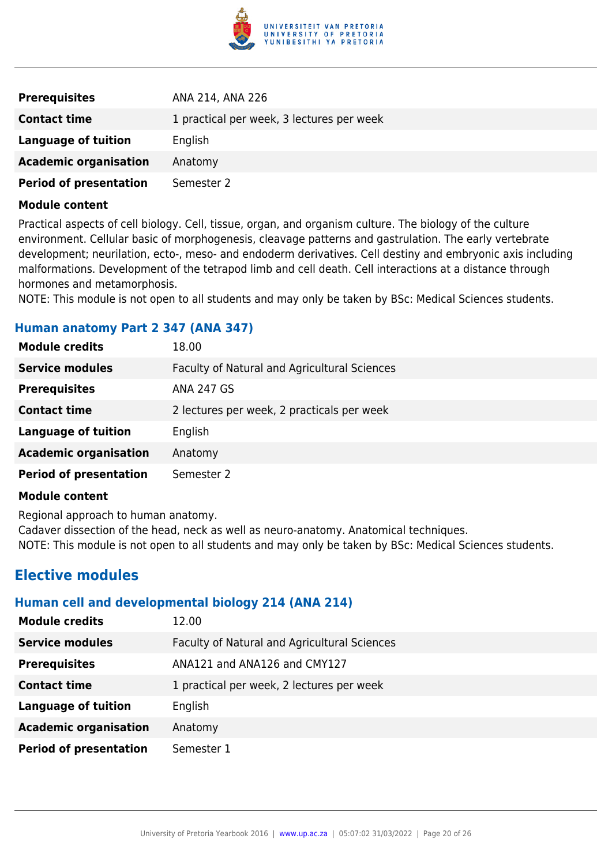

| <b>Prerequisites</b>          | ANA 214, ANA 226                          |
|-------------------------------|-------------------------------------------|
| <b>Contact time</b>           | 1 practical per week, 3 lectures per week |
| Language of tuition           | English                                   |
| <b>Academic organisation</b>  | Anatomy                                   |
| <b>Period of presentation</b> | Semester 2                                |

Practical aspects of cell biology. Cell, tissue, organ, and organism culture. The biology of the culture environment. Cellular basic of morphogenesis, cleavage patterns and gastrulation. The early vertebrate development; neurilation, ecto-, meso- and endoderm derivatives. Cell destiny and embryonic axis including malformations. Development of the tetrapod limb and cell death. Cell interactions at a distance through hormones and metamorphosis.

NOTE: This module is not open to all students and may only be taken by BSc: Medical Sciences students.

#### **Human anatomy Part 2 347 (ANA 347)**

| <b>Module credits</b>         | 18.00                                        |
|-------------------------------|----------------------------------------------|
| <b>Service modules</b>        | Faculty of Natural and Agricultural Sciences |
| <b>Prerequisites</b>          | <b>ANA 247 GS</b>                            |
| <b>Contact time</b>           | 2 lectures per week, 2 practicals per week   |
| <b>Language of tuition</b>    | English                                      |
| <b>Academic organisation</b>  | Anatomy                                      |
| <b>Period of presentation</b> | Semester 2                                   |

#### **Module content**

Regional approach to human anatomy.

Cadaver dissection of the head, neck as well as neuro-anatomy. Anatomical techniques.

NOTE: This module is not open to all students and may only be taken by BSc: Medical Sciences students.

## **Elective modules**

#### **Human cell and developmental biology 214 (ANA 214)**

| <b>Module credits</b>         | 12.00                                        |
|-------------------------------|----------------------------------------------|
| <b>Service modules</b>        | Faculty of Natural and Agricultural Sciences |
| <b>Prerequisites</b>          | ANA121 and ANA126 and CMY127                 |
| <b>Contact time</b>           | 1 practical per week, 2 lectures per week    |
| <b>Language of tuition</b>    | English                                      |
| <b>Academic organisation</b>  | Anatomy                                      |
| <b>Period of presentation</b> | Semester 1                                   |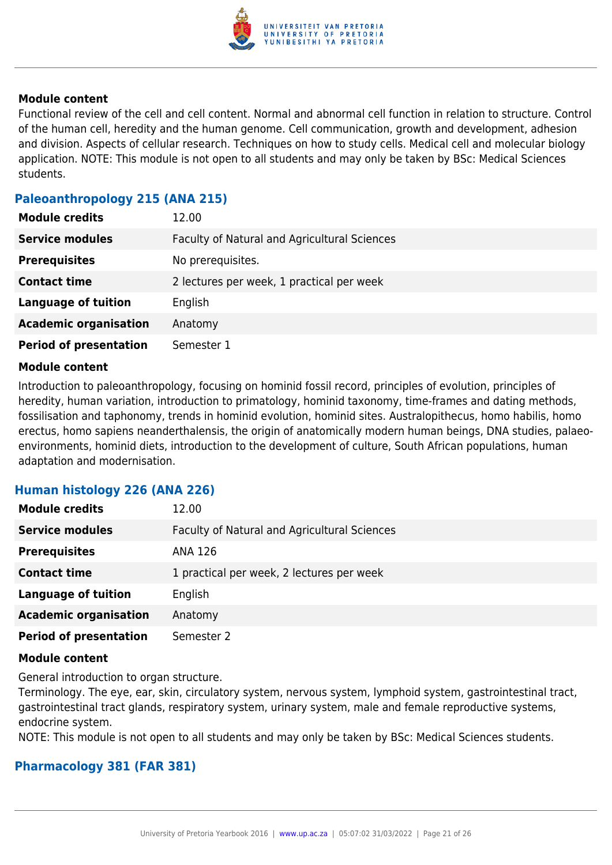

Functional review of the cell and cell content. Normal and abnormal cell function in relation to structure. Control of the human cell, heredity and the human genome. Cell communication, growth and development, adhesion and division. Aspects of cellular research. Techniques on how to study cells. Medical cell and molecular biology application. NOTE: This module is not open to all students and may only be taken by BSc: Medical Sciences students.

### **Paleoanthropology 215 (ANA 215)**

| <b>Module credits</b>         | 12.00                                        |
|-------------------------------|----------------------------------------------|
| <b>Service modules</b>        | Faculty of Natural and Agricultural Sciences |
| <b>Prerequisites</b>          | No prerequisites.                            |
| <b>Contact time</b>           | 2 lectures per week, 1 practical per week    |
| <b>Language of tuition</b>    | English                                      |
| <b>Academic organisation</b>  | Anatomy                                      |
| <b>Period of presentation</b> | Semester 1                                   |

#### **Module content**

Introduction to paleoanthropology, focusing on hominid fossil record, principles of evolution, principles of heredity, human variation, introduction to primatology, hominid taxonomy, time-frames and dating methods, fossilisation and taphonomy, trends in hominid evolution, hominid sites. Australopithecus, homo habilis, homo erectus, homo sapiens neanderthalensis, the origin of anatomically modern human beings, DNA studies, palaeoenvironments, hominid diets, introduction to the development of culture, South African populations, human adaptation and modernisation.

#### **Human histology 226 (ANA 226)**

| <b>Module credits</b>         | 12.00                                        |
|-------------------------------|----------------------------------------------|
| <b>Service modules</b>        | Faculty of Natural and Agricultural Sciences |
| <b>Prerequisites</b>          | ANA 126                                      |
| <b>Contact time</b>           | 1 practical per week, 2 lectures per week    |
| <b>Language of tuition</b>    | English                                      |
| <b>Academic organisation</b>  | Anatomy                                      |
| <b>Period of presentation</b> | Semester 2                                   |

#### **Module content**

General introduction to organ structure.

Terminology. The eye, ear, skin, circulatory system, nervous system, lymphoid system, gastrointestinal tract, gastrointestinal tract glands, respiratory system, urinary system, male and female reproductive systems, endocrine system.

NOTE: This module is not open to all students and may only be taken by BSc: Medical Sciences students.

#### **Pharmacology 381 (FAR 381)**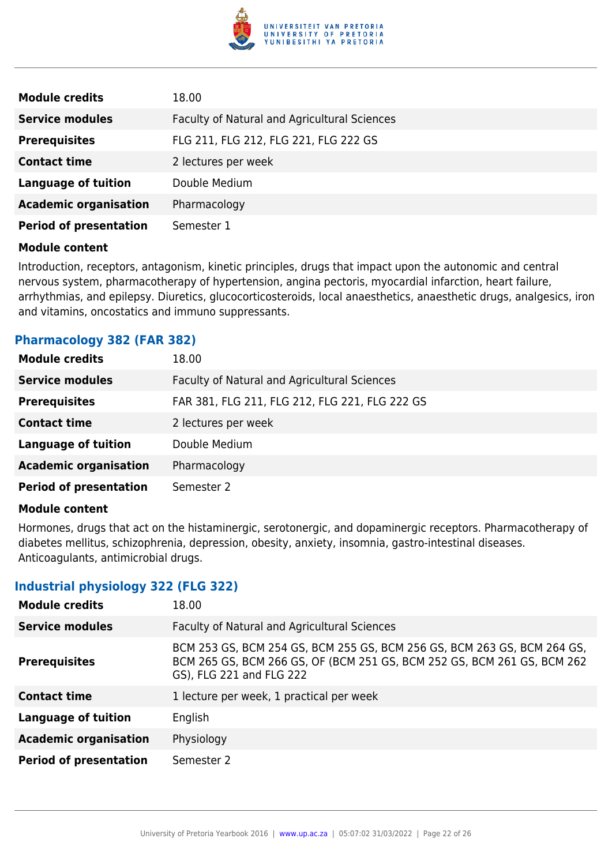

| <b>Module credits</b>         | 18.00                                        |
|-------------------------------|----------------------------------------------|
| <b>Service modules</b>        | Faculty of Natural and Agricultural Sciences |
| <b>Prerequisites</b>          | FLG 211, FLG 212, FLG 221, FLG 222 GS        |
| <b>Contact time</b>           | 2 lectures per week                          |
| <b>Language of tuition</b>    | Double Medium                                |
| <b>Academic organisation</b>  | Pharmacology                                 |
| <b>Period of presentation</b> | Semester 1                                   |

Introduction, receptors, antagonism, kinetic principles, drugs that impact upon the autonomic and central nervous system, pharmacotherapy of hypertension, angina pectoris, myocardial infarction, heart failure, arrhythmias, and epilepsy. Diuretics, glucocorticosteroids, local anaesthetics, anaesthetic drugs, analgesics, iron and vitamins, oncostatics and immuno suppressants.

#### **Pharmacology 382 (FAR 382)**

| <b>Module credits</b>         | 18.00                                          |
|-------------------------------|------------------------------------------------|
| <b>Service modules</b>        | Faculty of Natural and Agricultural Sciences   |
| <b>Prerequisites</b>          | FAR 381, FLG 211, FLG 212, FLG 221, FLG 222 GS |
| <b>Contact time</b>           | 2 lectures per week                            |
| <b>Language of tuition</b>    | Double Medium                                  |
| <b>Academic organisation</b>  | Pharmacology                                   |
| <b>Period of presentation</b> | Semester 2                                     |

#### **Module content**

Hormones, drugs that act on the histaminergic, serotonergic, and dopaminergic receptors. Pharmacotherapy of diabetes mellitus, schizophrenia, depression, obesity, anxiety, insomnia, gastro-intestinal diseases. Anticoagulants, antimicrobial drugs.

#### **Industrial physiology 322 (FLG 322)**

| <b>Module credits</b>         | 18.00                                                                                                                                                                          |
|-------------------------------|--------------------------------------------------------------------------------------------------------------------------------------------------------------------------------|
| <b>Service modules</b>        | Faculty of Natural and Agricultural Sciences                                                                                                                                   |
| <b>Prerequisites</b>          | BCM 253 GS, BCM 254 GS, BCM 255 GS, BCM 256 GS, BCM 263 GS, BCM 264 GS,<br>BCM 265 GS, BCM 266 GS, OF (BCM 251 GS, BCM 252 GS, BCM 261 GS, BCM 262<br>GS), FLG 221 and FLG 222 |
| <b>Contact time</b>           | 1 lecture per week, 1 practical per week                                                                                                                                       |
| <b>Language of tuition</b>    | English                                                                                                                                                                        |
| <b>Academic organisation</b>  | Physiology                                                                                                                                                                     |
| <b>Period of presentation</b> | Semester 2                                                                                                                                                                     |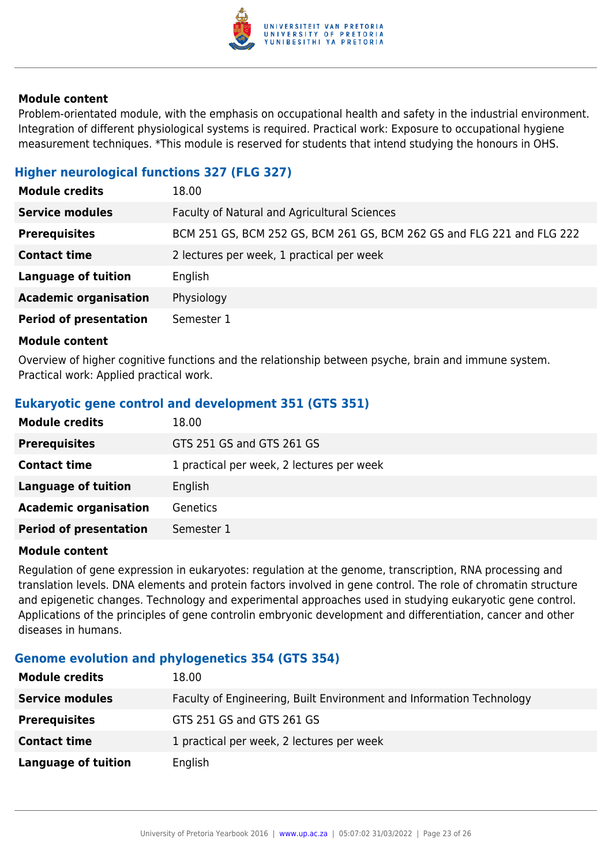

Problem-orientated module, with the emphasis on occupational health and safety in the industrial environment. Integration of different physiological systems is required. Practical work: Exposure to occupational hygiene measurement techniques. \*This module is reserved for students that intend studying the honours in OHS.

## **Higher neurological functions 327 (FLG 327)**

| <b>Module credits</b>         | 18.00                                                                  |
|-------------------------------|------------------------------------------------------------------------|
| <b>Service modules</b>        | Faculty of Natural and Agricultural Sciences                           |
| <b>Prerequisites</b>          | BCM 251 GS, BCM 252 GS, BCM 261 GS, BCM 262 GS and FLG 221 and FLG 222 |
| <b>Contact time</b>           | 2 lectures per week, 1 practical per week                              |
| <b>Language of tuition</b>    | English                                                                |
| <b>Academic organisation</b>  | Physiology                                                             |
| <b>Period of presentation</b> | Semester 1                                                             |

#### **Module content**

Overview of higher cognitive functions and the relationship between psyche, brain and immune system. Practical work: Applied practical work.

## **Eukaryotic gene control and development 351 (GTS 351)**

| <b>Module credits</b>         | 18.00                                     |
|-------------------------------|-------------------------------------------|
| <b>Prerequisites</b>          | GTS 251 GS and GTS 261 GS                 |
| <b>Contact time</b>           | 1 practical per week, 2 lectures per week |
| <b>Language of tuition</b>    | English                                   |
| <b>Academic organisation</b>  | <b>Genetics</b>                           |
| <b>Period of presentation</b> | Semester 1                                |

#### **Module content**

Regulation of gene expression in eukaryotes: regulation at the genome, transcription, RNA processing and translation levels. DNA elements and protein factors involved in gene control. The role of chromatin structure and epigenetic changes. Technology and experimental approaches used in studying eukaryotic gene control. Applications of the principles of gene controlin embryonic development and differentiation, cancer and other diseases in humans.

### **Genome evolution and phylogenetics 354 (GTS 354)**

| <b>Module credits</b>  | 18.00                                                                |
|------------------------|----------------------------------------------------------------------|
| <b>Service modules</b> | Faculty of Engineering, Built Environment and Information Technology |
| <b>Prerequisites</b>   | GTS 251 GS and GTS 261 GS                                            |
| <b>Contact time</b>    | 1 practical per week, 2 lectures per week                            |
| Language of tuition    | English                                                              |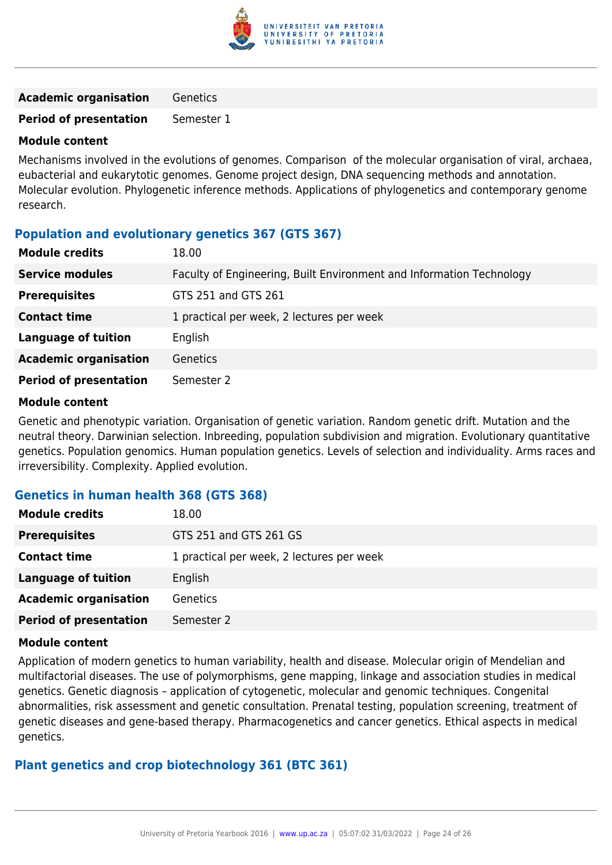

**Academic organisation** Genetics

**Period of presentation** Semester 1

#### **Module content**

Mechanisms involved in the evolutions of genomes. Comparison of the molecular organisation of viral, archaea, eubacterial and eukarytotic genomes. Genome project design, DNA sequencing methods and annotation. Molecular evolution. Phylogenetic inference methods. Applications of phylogenetics and contemporary genome research.

#### **Population and evolutionary genetics 367 (GTS 367)**

| <b>Module credits</b>         | 18.00                                                                |
|-------------------------------|----------------------------------------------------------------------|
| <b>Service modules</b>        | Faculty of Engineering, Built Environment and Information Technology |
| <b>Prerequisites</b>          | GTS 251 and GTS 261                                                  |
| <b>Contact time</b>           | 1 practical per week, 2 lectures per week                            |
| <b>Language of tuition</b>    | English                                                              |
| <b>Academic organisation</b>  | <b>Genetics</b>                                                      |
| <b>Period of presentation</b> | Semester 2                                                           |

#### **Module content**

Genetic and phenotypic variation. Organisation of genetic variation. Random genetic drift. Mutation and the neutral theory. Darwinian selection. Inbreeding, population subdivision and migration. Evolutionary quantitative genetics. Population genomics. Human population genetics. Levels of selection and individuality. Arms races and irreversibility. Complexity. Applied evolution.

## **Genetics in human health 368 (GTS 368)**

| <b>Module credits</b>         | 18.00                                     |
|-------------------------------|-------------------------------------------|
| <b>Prerequisites</b>          | GTS 251 and GTS 261 GS                    |
| <b>Contact time</b>           | 1 practical per week, 2 lectures per week |
| <b>Language of tuition</b>    | English                                   |
| <b>Academic organisation</b>  | <b>Genetics</b>                           |
| <b>Period of presentation</b> | Semester 2                                |

#### **Module content**

Application of modern genetics to human variability, health and disease. Molecular origin of Mendelian and multifactorial diseases. The use of polymorphisms, gene mapping, linkage and association studies in medical genetics. Genetic diagnosis – application of cytogenetic, molecular and genomic techniques. Congenital abnormalities, risk assessment and genetic consultation. Prenatal testing, population screening, treatment of genetic diseases and gene-based therapy. Pharmacogenetics and cancer genetics. Ethical aspects in medical genetics.

#### **Plant genetics and crop biotechnology 361 (BTC 361)**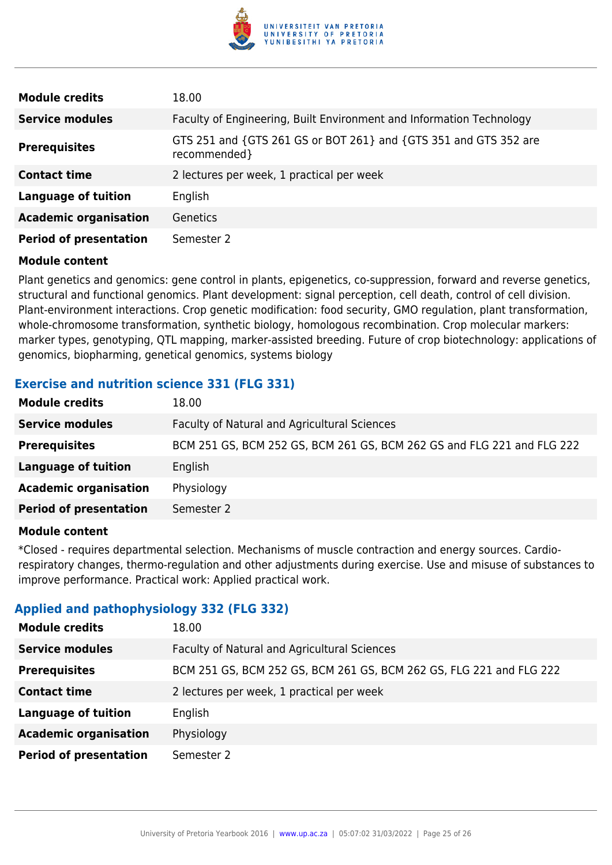

| <b>Module credits</b>         | 18.00                                                                            |
|-------------------------------|----------------------------------------------------------------------------------|
| <b>Service modules</b>        | Faculty of Engineering, Built Environment and Information Technology             |
| <b>Prerequisites</b>          | GTS 251 and {GTS 261 GS or BOT 261} and {GTS 351 and GTS 352 are<br>recommended} |
| <b>Contact time</b>           | 2 lectures per week, 1 practical per week                                        |
| <b>Language of tuition</b>    | English                                                                          |
| <b>Academic organisation</b>  | Genetics                                                                         |
| <b>Period of presentation</b> | Semester 2                                                                       |

Plant genetics and genomics: gene control in plants, epigenetics, co-suppression, forward and reverse genetics, structural and functional genomics. Plant development: signal perception, cell death, control of cell division. Plant-environment interactions. Crop genetic modification: food security, GMO regulation, plant transformation, whole-chromosome transformation, synthetic biology, homologous recombination. Crop molecular markers: marker types, genotyping, QTL mapping, marker-assisted breeding. Future of crop biotechnology: applications of genomics, biopharming, genetical genomics, systems biology

## **Exercise and nutrition science 331 (FLG 331)**

| 18.00                                                                  |
|------------------------------------------------------------------------|
| Faculty of Natural and Agricultural Sciences                           |
| BCM 251 GS, BCM 252 GS, BCM 261 GS, BCM 262 GS and FLG 221 and FLG 222 |
| English                                                                |
| Physiology                                                             |
| Semester 2                                                             |
|                                                                        |

#### **Module content**

\*Closed - requires departmental selection. Mechanisms of muscle contraction and energy sources. Cardiorespiratory changes, thermo-regulation and other adjustments during exercise. Use and misuse of substances to improve performance. Practical work: Applied practical work.

## **Applied and pathophysiology 332 (FLG 332)**

| <b>Module credits</b>         | 18.00                                                               |
|-------------------------------|---------------------------------------------------------------------|
| <b>Service modules</b>        | Faculty of Natural and Agricultural Sciences                        |
| <b>Prerequisites</b>          | BCM 251 GS, BCM 252 GS, BCM 261 GS, BCM 262 GS, FLG 221 and FLG 222 |
| <b>Contact time</b>           | 2 lectures per week, 1 practical per week                           |
| <b>Language of tuition</b>    | English                                                             |
| <b>Academic organisation</b>  | Physiology                                                          |
| <b>Period of presentation</b> | Semester 2                                                          |